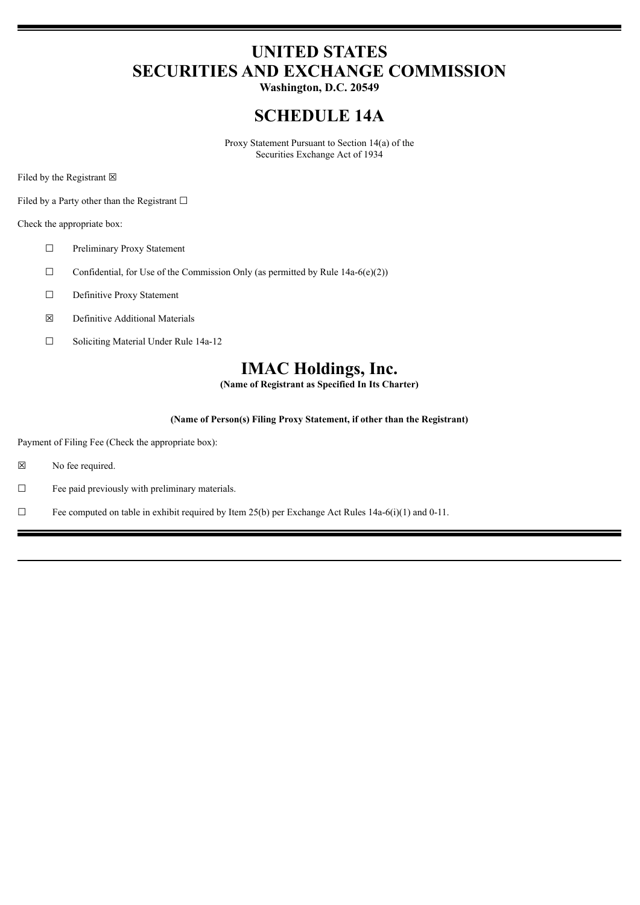# **UNITED STATES SECURITIES AND EXCHANGE COMMISSION**

**Washington, D.C. 20549**

## **SCHEDULE 14A**

Proxy Statement Pursuant to Section 14(a) of the Securities Exchange Act of 1934

Filed by the Registrant  $\boxtimes$ 

Filed by a Party other than the Registrant  $□$ 

Check the appropriate box:

- ☐ Preliminary Proxy Statement
- $\Box$  Confidential, for Use of the Commission Only (as permitted by Rule 14a-6(e)(2))
- ☐ Definitive Proxy Statement
- ☒ Definitive Additional Materials
- ☐ Soliciting Material Under Rule 14a-12

## **IMAC Holdings, Inc.**

**(Name of Registrant as Specified In Its Charter)**

#### **(Name of Person(s) Filing Proxy Statement, if other than the Registrant)**

Payment of Filing Fee (Check the appropriate box):

- ☒ No fee required.
- $\Box$  Fee paid previously with preliminary materials.
- $\Box$  Fee computed on table in exhibit required by Item 25(b) per Exchange Act Rules 14a-6(i)(1) and 0-11.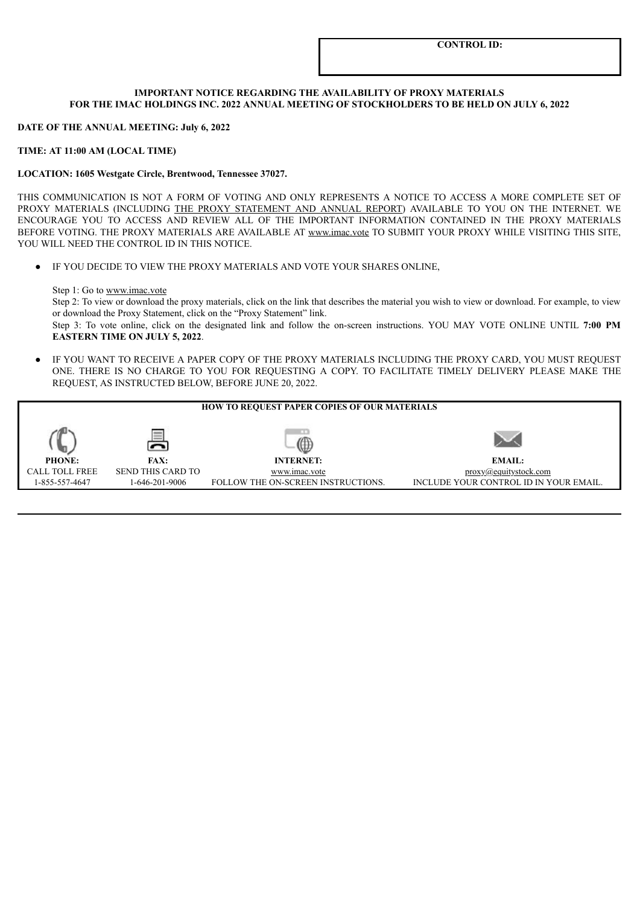#### **IMPORTANT NOTICE REGARDING THE AVAILABILITY OF PROXY MATERIALS FOR THE IMAC HOLDINGS INC. 2022 ANNUAL MEETING OF STOCKHOLDERS TO BE HELD ON JULY 6, 2022**

#### **DATE OF THE ANNUAL MEETING: July 6, 2022**

#### **TIME: AT 11:00 AM (LOCAL TIME)**

#### **LOCATION: 1605 Westgate Circle, Brentwood, Tennessee 37027.**

THIS COMMUNICATION IS NOT A FORM OF VOTING AND ONLY REPRESENTS A NOTICE TO ACCESS A MORE COMPLETE SET OF PROXY MATERIALS (INCLUDING THE PROXY STATEMENT AND ANNUAL REPORT) AVAILABLE TO YOU ON THE INTERNET. WE ENCOURAGE YOU TO ACCESS AND REVIEW ALL OF THE IMPORTANT INFORMATION CONTAINED IN THE PROXY MATERIALS BEFORE VOTING. THE PROXY MATERIALS ARE AVAILABLE AT www.imac.vote TO SUBMIT YOUR PROXY WHILE VISITING THIS SITE, YOU WILL NEED THE CONTROL ID IN THIS NOTICE.

● IF YOU DECIDE TO VIEW THE PROXY MATERIALS AND VOTE YOUR SHARES ONLINE,

#### Step 1: Go to www.imac.vote

Step 2: To view or download the proxy materials, click on the link that describes the material you wish to view or download. For example, to view or download the Proxy Statement, click on the "Proxy Statement" link.

Step 3: To vote online, click on the designated link and follow the on-screen instructions. YOU MAY VOTE ONLINE UNTIL **7:00 PM EASTERN TIME ON JULY 5, 2022**.

IF YOU WANT TO RECEIVE A PAPER COPY OF THE PROXY MATERIALS INCLUDING THE PROXY CARD, YOU MUST REQUEST ONE. THERE IS NO CHARGE TO YOU FOR REQUESTING A COPY. TO FACILITATE TIMELY DELIVERY PLEASE MAKE THE REQUEST, AS INSTRUCTED BELOW, BEFORE JUNE 20, 2022.

| <b>HOW TO REQUEST PAPER COPIES OF OUR MATERIALS</b> |                          |                                    |                                        |  |  |  |  |  |  |
|-----------------------------------------------------|--------------------------|------------------------------------|----------------------------------------|--|--|--|--|--|--|
|                                                     |                          |                                    |                                        |  |  |  |  |  |  |
| <b>PHONE:</b>                                       | <b>FAX:</b>              | <b>INTERNET:</b>                   | <b>EMAIL:</b>                          |  |  |  |  |  |  |
| <b>CALL TOLL FREE</b>                               | <b>SEND THIS CARD TO</b> | www.imac.vote                      | proxy@equitystock.com                  |  |  |  |  |  |  |
| 1-855-557-4647                                      | 1-646-201-9006           | FOLLOW THE ON-SCREEN INSTRUCTIONS. | INCLUDE YOUR CONTROL ID IN YOUR EMAIL. |  |  |  |  |  |  |
|                                                     |                          |                                    |                                        |  |  |  |  |  |  |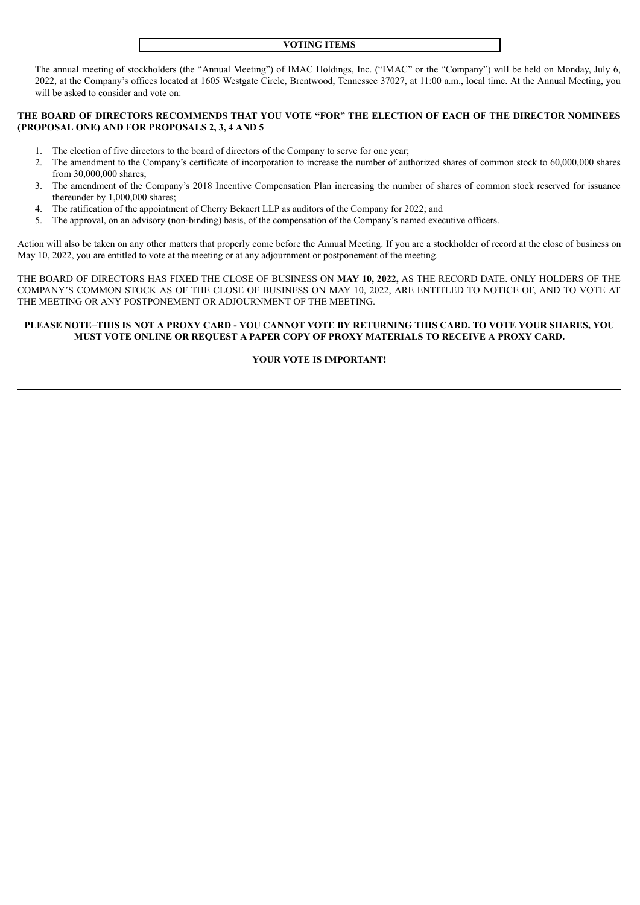#### **VOTING ITEMS**

The annual meeting of stockholders (the "Annual Meeting") of IMAC Holdings, Inc. ("IMAC" or the "Company") will be held on Monday, July 6, 2022, at the Company's offices located at 1605 Westgate Circle, Brentwood, Tennessee 37027, at 11:00 a.m., local time. At the Annual Meeting, you will be asked to consider and vote on:

#### **THE BOARD OF DIRECTORS RECOMMENDS THAT YOU VOTE "FOR" THE ELECTION OF EACH OF THE DIRECTOR NOMINEES (PROPOSAL ONE) AND FOR PROPOSALS 2, 3, 4 AND 5**

- 1. The election of five directors to the board of directors of the Company to serve for one year;
- 2. The amendment to the Company's certificate of incorporation to increase the number of authorized shares of common stock to 60,000,000 shares from 30,000,000 shares;
- 3. The amendment of the Company's 2018 Incentive Compensation Plan increasing the number of shares of common stock reserved for issuance thereunder by 1,000,000 shares;
- 4. The ratification of the appointment of Cherry Bekaert LLP as auditors of the Company for 2022; and
- 5. The approval, on an advisory (non-binding) basis, of the compensation of the Company's named executive officers.

Action will also be taken on any other matters that properly come before the Annual Meeting. If you are a stockholder of record at the close of business on May 10, 2022, you are entitled to vote at the meeting or at any adjournment or postponement of the meeting.

THE BOARD OF DIRECTORS HAS FIXED THE CLOSE OF BUSINESS ON **MAY 10, 2022,** AS THE RECORD DATE. ONLY HOLDERS OF THE COMPANY'S COMMON STOCK AS OF THE CLOSE OF BUSINESS ON MAY 10, 2022, ARE ENTITLED TO NOTICE OF, AND TO VOTE AT THE MEETING OR ANY POSTPONEMENT OR ADJOURNMENT OF THE MEETING.

#### PLEASE NOTE-THIS IS NOT A PROXY CARD - YOU CANNOT VOTE BY RETURNING THIS CARD. TO VOTE YOUR SHARES, YOU **MUST VOTE ONLINE OR REQUEST A PAPER COPY OF PROXY MATERIALS TO RECEIVE A PROXY CARD.**

### **YOUR VOTE IS IMPORTANT!**